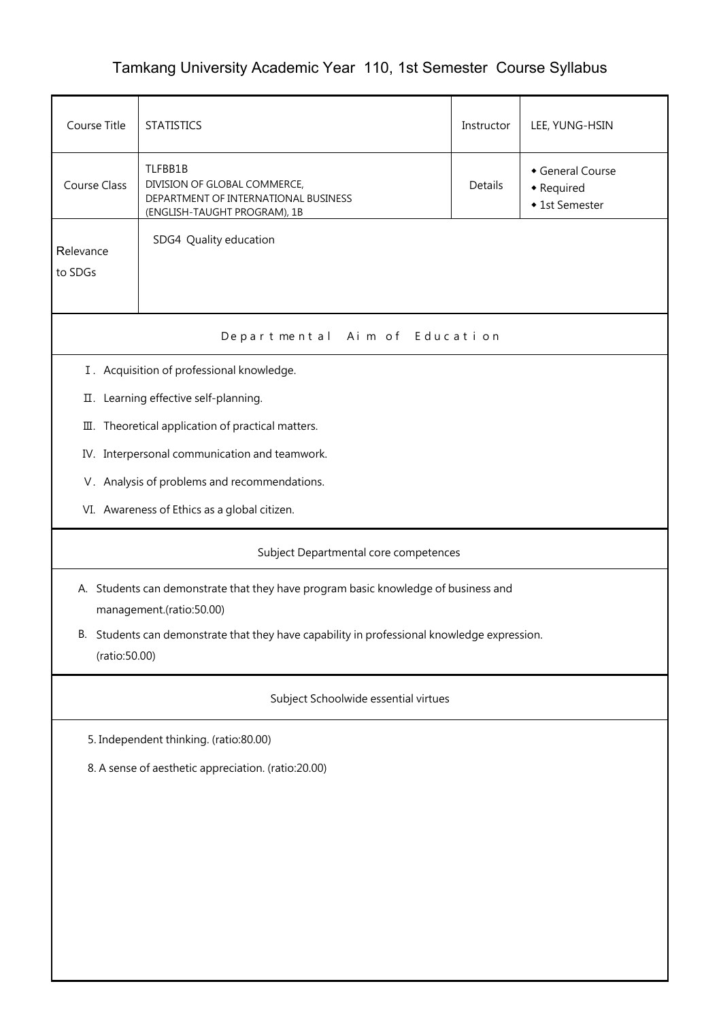## Tamkang University Academic Year 110, 1st Semester Course Syllabus

| Course Title                                                                                                    | <b>STATISTICS</b>                                                                                                                                                                   |  | LEE, YUNG-HSIN |  |  |  |  |  |
|-----------------------------------------------------------------------------------------------------------------|-------------------------------------------------------------------------------------------------------------------------------------------------------------------------------------|--|----------------|--|--|--|--|--|
| <b>Course Class</b>                                                                                             | TLFBB1B<br>General Course<br>DIVISION OF GLOBAL COMMERCE,<br><b>Details</b><br>• Required<br>DEPARTMENT OF INTERNATIONAL BUSINESS<br>◆ 1st Semester<br>(ENGLISH-TAUGHT PROGRAM), 1B |  |                |  |  |  |  |  |
| Relevance<br>to SDGs                                                                                            | SDG4 Quality education                                                                                                                                                              |  |                |  |  |  |  |  |
| Departmental Aim of Education                                                                                   |                                                                                                                                                                                     |  |                |  |  |  |  |  |
|                                                                                                                 | I. Acquisition of professional knowledge.                                                                                                                                           |  |                |  |  |  |  |  |
|                                                                                                                 | II. Learning effective self-planning.                                                                                                                                               |  |                |  |  |  |  |  |
|                                                                                                                 | III. Theoretical application of practical matters.                                                                                                                                  |  |                |  |  |  |  |  |
|                                                                                                                 | IV. Interpersonal communication and teamwork.                                                                                                                                       |  |                |  |  |  |  |  |
|                                                                                                                 | V. Analysis of problems and recommendations.                                                                                                                                        |  |                |  |  |  |  |  |
|                                                                                                                 | VI. Awareness of Ethics as a global citizen.                                                                                                                                        |  |                |  |  |  |  |  |
| Subject Departmental core competences                                                                           |                                                                                                                                                                                     |  |                |  |  |  |  |  |
| A. Students can demonstrate that they have program basic knowledge of business and<br>management.(ratio:50.00)  |                                                                                                                                                                                     |  |                |  |  |  |  |  |
| Students can demonstrate that they have capability in professional knowledge expression.<br>В.<br>(ratio:50.00) |                                                                                                                                                                                     |  |                |  |  |  |  |  |
| Subject Schoolwide essential virtues                                                                            |                                                                                                                                                                                     |  |                |  |  |  |  |  |
|                                                                                                                 | 5. Independent thinking. (ratio:80.00)                                                                                                                                              |  |                |  |  |  |  |  |
| 8. A sense of aesthetic appreciation. (ratio:20.00)                                                             |                                                                                                                                                                                     |  |                |  |  |  |  |  |
|                                                                                                                 |                                                                                                                                                                                     |  |                |  |  |  |  |  |
|                                                                                                                 |                                                                                                                                                                                     |  |                |  |  |  |  |  |
|                                                                                                                 |                                                                                                                                                                                     |  |                |  |  |  |  |  |
|                                                                                                                 |                                                                                                                                                                                     |  |                |  |  |  |  |  |
|                                                                                                                 |                                                                                                                                                                                     |  |                |  |  |  |  |  |
|                                                                                                                 |                                                                                                                                                                                     |  |                |  |  |  |  |  |
|                                                                                                                 |                                                                                                                                                                                     |  |                |  |  |  |  |  |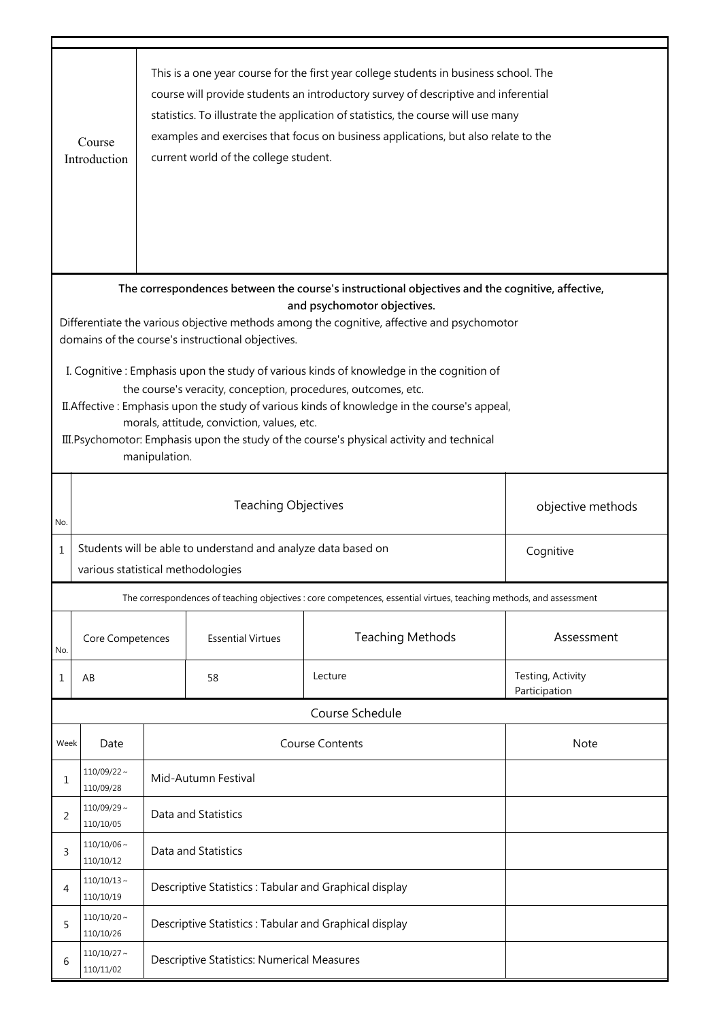|                                                                                                                                                 | This is a one year course for the first year college students in business school. The<br>course will provide students an introductory survey of descriptive and inferential<br>statistics. To illustrate the application of statistics, the course will use many<br>examples and exercises that focus on business applications, but also relate to the<br>Course<br>current world of the college student.<br>Introduction |                                                                            |                                                       |                                                                                                                                                                |                                    |  |  |  |  |
|-------------------------------------------------------------------------------------------------------------------------------------------------|---------------------------------------------------------------------------------------------------------------------------------------------------------------------------------------------------------------------------------------------------------------------------------------------------------------------------------------------------------------------------------------------------------------------------|----------------------------------------------------------------------------|-------------------------------------------------------|----------------------------------------------------------------------------------------------------------------------------------------------------------------|------------------------------------|--|--|--|--|
|                                                                                                                                                 | The correspondences between the course's instructional objectives and the cognitive, affective,<br>and psychomotor objectives.                                                                                                                                                                                                                                                                                            |                                                                            |                                                       |                                                                                                                                                                |                                    |  |  |  |  |
| Differentiate the various objective methods among the cognitive, affective and psychomotor<br>domains of the course's instructional objectives. |                                                                                                                                                                                                                                                                                                                                                                                                                           |                                                                            |                                                       |                                                                                                                                                                |                                    |  |  |  |  |
|                                                                                                                                                 | I. Cognitive: Emphasis upon the study of various kinds of knowledge in the cognition of                                                                                                                                                                                                                                                                                                                                   |                                                                            |                                                       |                                                                                                                                                                |                                    |  |  |  |  |
|                                                                                                                                                 |                                                                                                                                                                                                                                                                                                                                                                                                                           |                                                                            |                                                       | the course's veracity, conception, procedures, outcomes, etc.<br>II. Affective : Emphasis upon the study of various kinds of knowledge in the course's appeal, |                                    |  |  |  |  |
|                                                                                                                                                 |                                                                                                                                                                                                                                                                                                                                                                                                                           |                                                                            | morals, attitude, conviction, values, etc.            |                                                                                                                                                                |                                    |  |  |  |  |
|                                                                                                                                                 |                                                                                                                                                                                                                                                                                                                                                                                                                           | manipulation.                                                              |                                                       | III. Psychomotor: Emphasis upon the study of the course's physical activity and technical                                                                      |                                    |  |  |  |  |
|                                                                                                                                                 |                                                                                                                                                                                                                                                                                                                                                                                                                           |                                                                            |                                                       |                                                                                                                                                                |                                    |  |  |  |  |
| No.                                                                                                                                             | <b>Teaching Objectives</b>                                                                                                                                                                                                                                                                                                                                                                                                |                                                                            |                                                       |                                                                                                                                                                | objective methods                  |  |  |  |  |
| $\mathbf 1$                                                                                                                                     |                                                                                                                                                                                                                                                                                                                                                                                                                           | Students will be able to understand and analyze data based on<br>Cognitive |                                                       |                                                                                                                                                                |                                    |  |  |  |  |
|                                                                                                                                                 | various statistical methodologies                                                                                                                                                                                                                                                                                                                                                                                         |                                                                            |                                                       |                                                                                                                                                                |                                    |  |  |  |  |
|                                                                                                                                                 |                                                                                                                                                                                                                                                                                                                                                                                                                           |                                                                            |                                                       | The correspondences of teaching objectives : core competences, essential virtues, teaching methods, and assessment                                             |                                    |  |  |  |  |
| No.                                                                                                                                             | Core Competences                                                                                                                                                                                                                                                                                                                                                                                                          |                                                                            | <b>Essential Virtues</b>                              | <b>Teaching Methods</b>                                                                                                                                        | Assessment                         |  |  |  |  |
| 1                                                                                                                                               | AB                                                                                                                                                                                                                                                                                                                                                                                                                        |                                                                            | 58                                                    | Lecture                                                                                                                                                        | Testing, Activity<br>Participation |  |  |  |  |
|                                                                                                                                                 |                                                                                                                                                                                                                                                                                                                                                                                                                           |                                                                            |                                                       | Course Schedule                                                                                                                                                |                                    |  |  |  |  |
| Week                                                                                                                                            | Date                                                                                                                                                                                                                                                                                                                                                                                                                      |                                                                            |                                                       | <b>Course Contents</b>                                                                                                                                         | Note                               |  |  |  |  |
| 1                                                                                                                                               | $110/09/22$ ~<br>110/09/28                                                                                                                                                                                                                                                                                                                                                                                                |                                                                            | Mid-Autumn Festival                                   |                                                                                                                                                                |                                    |  |  |  |  |
| 2                                                                                                                                               | $110/09/29 \sim$<br>110/10/05                                                                                                                                                                                                                                                                                                                                                                                             | Data and Statistics                                                        |                                                       |                                                                                                                                                                |                                    |  |  |  |  |
| 3                                                                                                                                               | $110/10/06 \sim$<br>110/10/12                                                                                                                                                                                                                                                                                                                                                                                             |                                                                            | Data and Statistics                                   |                                                                                                                                                                |                                    |  |  |  |  |
| 4                                                                                                                                               | $110/10/13$ ~<br>110/10/19                                                                                                                                                                                                                                                                                                                                                                                                |                                                                            | Descriptive Statistics: Tabular and Graphical display |                                                                                                                                                                |                                    |  |  |  |  |
| 5                                                                                                                                               | $110/10/20 \sim$<br>110/10/26                                                                                                                                                                                                                                                                                                                                                                                             | Descriptive Statistics: Tabular and Graphical display                      |                                                       |                                                                                                                                                                |                                    |  |  |  |  |
| 6                                                                                                                                               | $110/10/27$ ~<br>110/11/02                                                                                                                                                                                                                                                                                                                                                                                                | Descriptive Statistics: Numerical Measures                                 |                                                       |                                                                                                                                                                |                                    |  |  |  |  |